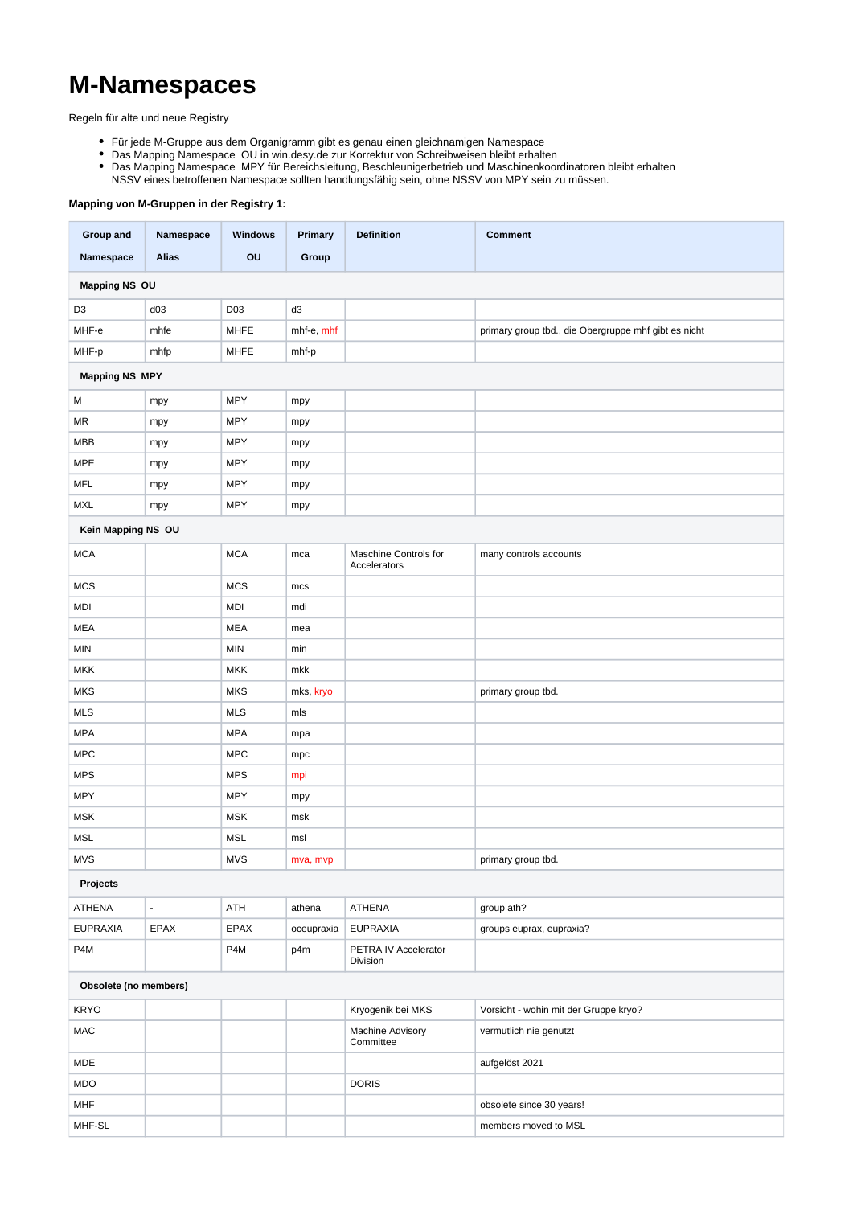## **M-Namespaces**

Regeln für alte und neue Registry

- Für jede M-Gruppe aus dem Organigramm gibt es genau einen gleichnamigen Namespace
- Das Mapping Namespace OU in win.desy.de zur Korrektur von Schreibweisen bleibt erhalten
- Das Mapping Namespace MPY für Bereichsleitung, Beschleunigerbetrieb und Maschinenkoordinatoren bleibt erhalten
- NSSV eines betroffenen Namespace sollten handlungsfähig sein, ohne NSSV von MPY sein zu müssen.

## **Mapping von M-Gruppen in der Registry 1:**

| Group and             | Namespace                | <b>Windows</b> | Primary        | <b>Definition</b>                     | <b>Comment</b>                                       |  |  |  |  |  |
|-----------------------|--------------------------|----------------|----------------|---------------------------------------|------------------------------------------------------|--|--|--|--|--|
| Namespace             | <b>Alias</b>             | O <sub>U</sub> | Group          |                                       |                                                      |  |  |  |  |  |
| <b>Mapping NS OU</b>  |                          |                |                |                                       |                                                      |  |  |  |  |  |
| D <sub>3</sub>        | d03                      | D03            | d <sub>3</sub> |                                       |                                                      |  |  |  |  |  |
| MHF-e                 | mhfe                     | <b>MHFE</b>    | mhf-e, mhf     |                                       | primary group tbd., die Obergruppe mhf gibt es nicht |  |  |  |  |  |
| MHF-p                 | mhfp                     | <b>MHFE</b>    | mhf-p          |                                       |                                                      |  |  |  |  |  |
| <b>Mapping NS MPY</b> |                          |                |                |                                       |                                                      |  |  |  |  |  |
| М                     | mpy                      | <b>MPY</b>     | mpy            |                                       |                                                      |  |  |  |  |  |
| ΜR                    | mpy                      | <b>MPY</b>     | mpy            |                                       |                                                      |  |  |  |  |  |
| <b>MBB</b>            | mpy                      | <b>MPY</b>     | mpy            |                                       |                                                      |  |  |  |  |  |
| <b>MPE</b>            | mpy                      | <b>MPY</b>     | mpy            |                                       |                                                      |  |  |  |  |  |
| MFL                   | mpy                      | <b>MPY</b>     | mpy            |                                       |                                                      |  |  |  |  |  |
| <b>MXL</b>            | mpy                      | <b>MPY</b>     | mpy            |                                       |                                                      |  |  |  |  |  |
| Kein Mapping NS OU    |                          |                |                |                                       |                                                      |  |  |  |  |  |
| <b>MCA</b>            |                          | <b>MCA</b>     | mca            | Maschine Controls for<br>Accelerators | many controls accounts                               |  |  |  |  |  |
| <b>MCS</b>            |                          | <b>MCS</b>     | mcs            |                                       |                                                      |  |  |  |  |  |
| MDI                   |                          | <b>MDI</b>     | mdi            |                                       |                                                      |  |  |  |  |  |
| MEA                   |                          | MEA            | mea            |                                       |                                                      |  |  |  |  |  |
| <b>MIN</b>            |                          | <b>MIN</b>     | min            |                                       |                                                      |  |  |  |  |  |
| <b>MKK</b>            |                          | <b>MKK</b>     | mkk            |                                       |                                                      |  |  |  |  |  |
| <b>MKS</b>            |                          | <b>MKS</b>     | mks, kryo      |                                       | primary group tbd.                                   |  |  |  |  |  |
| <b>MLS</b>            |                          | <b>MLS</b>     | mls            |                                       |                                                      |  |  |  |  |  |
| <b>MPA</b>            |                          | <b>MPA</b>     | mpa            |                                       |                                                      |  |  |  |  |  |
| <b>MPC</b>            |                          | <b>MPC</b>     | mpc            |                                       |                                                      |  |  |  |  |  |
| <b>MPS</b>            |                          | <b>MPS</b>     | mpi            |                                       |                                                      |  |  |  |  |  |
| <b>MPY</b>            |                          | <b>MPY</b>     | mpy            |                                       |                                                      |  |  |  |  |  |
| MSK                   |                          | <b>MSK</b>     | msk            |                                       |                                                      |  |  |  |  |  |
| <b>MSL</b>            |                          | <b>MSL</b>     | msl            |                                       |                                                      |  |  |  |  |  |
| <b>MVS</b>            |                          | <b>MVS</b>     | mva, mvp       |                                       | primary group tbd.                                   |  |  |  |  |  |
| Projects              |                          |                |                |                                       |                                                      |  |  |  |  |  |
| <b>ATHENA</b>         | $\overline{\phantom{a}}$ | ATH            | athena         | ATHENA                                | group ath?                                           |  |  |  |  |  |
| EUPRAXIA              | EPAX                     | EPAX           | oceupraxia     | <b>EUPRAXIA</b>                       | groups euprax, eupraxia?                             |  |  |  |  |  |
| P4M                   |                          | P4M            | p4m            | PETRA IV Accelerator<br>Division      |                                                      |  |  |  |  |  |
| Obsolete (no members) |                          |                |                |                                       |                                                      |  |  |  |  |  |
| <b>KRYO</b>           |                          |                |                | Kryogenik bei MKS                     | Vorsicht - wohin mit der Gruppe kryo?                |  |  |  |  |  |
| <b>MAC</b>            |                          |                |                | Machine Advisory<br>Committee         | vermutlich nie genutzt                               |  |  |  |  |  |
| <b>MDE</b>            |                          |                |                |                                       | aufgelöst 2021                                       |  |  |  |  |  |
| MDO                   |                          |                |                | <b>DORIS</b>                          |                                                      |  |  |  |  |  |
| <b>MHF</b>            |                          |                |                |                                       | obsolete since 30 years!                             |  |  |  |  |  |
| MHF-SL                |                          |                |                |                                       | members moved to MSL                                 |  |  |  |  |  |